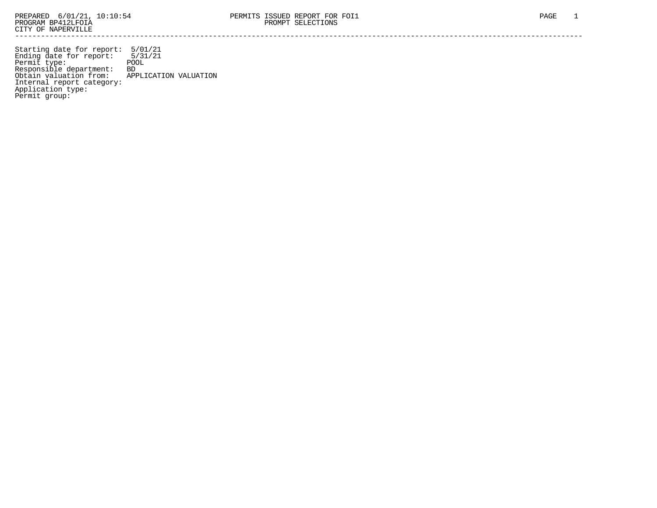Starting date for report: 5/01/21 Ending date for report: 5/31/21 Permit type: The POOL Responsible department: BD Obtain valuation from: APPLICATION VALUATION Internal report category: Application type: Permit group: